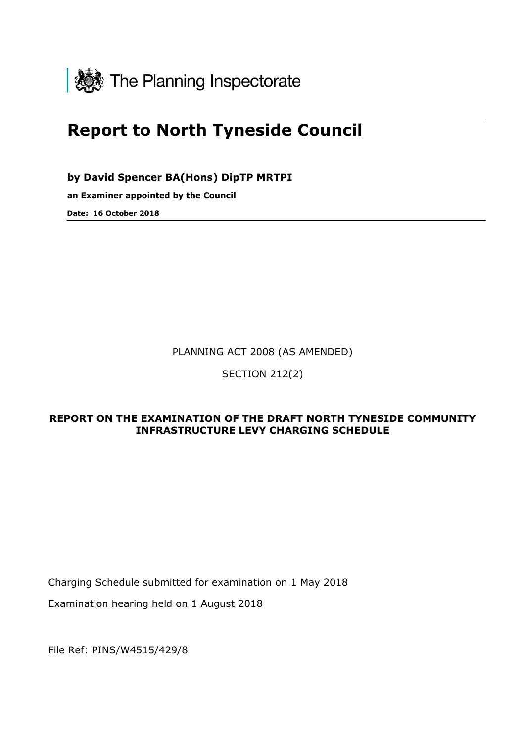

# **Report to North Tyneside Council**

**by David Spencer BA(Hons) DipTP MRTPI**

**an Examiner appointed by the Council** 

**Date: 16 October 2018**

PLANNING ACT 2008 (AS AMENDED)

SECTION 212(2)

# **REPORT ON THE EXAMINATION OF THE DRAFT NORTH TYNESIDE COMMUNITY INFRASTRUCTURE LEVY CHARGING SCHEDULE**

Charging Schedule submitted for examination on 1 May 2018

Examination hearing held on 1 August 2018

File Ref: PINS/W4515/429/8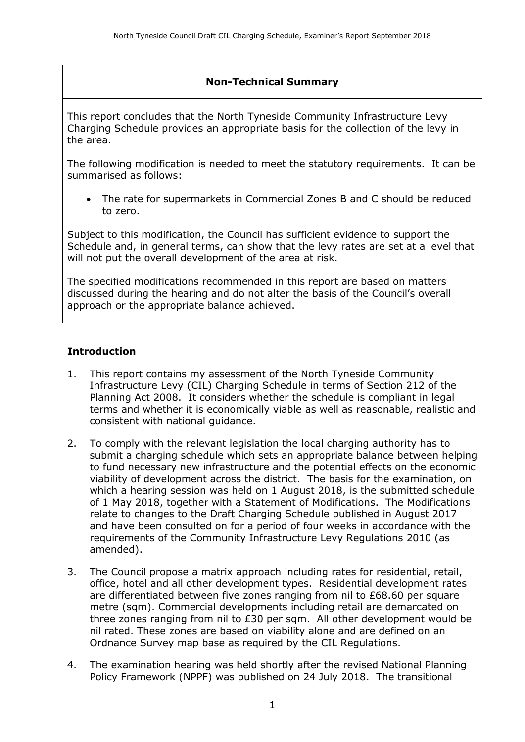# **Non-Technical Summary**

This report concludes that the North Tyneside Community Infrastructure Levy Charging Schedule provides an appropriate basis for the collection of the levy in the area.

The following modification is needed to meet the statutory requirements. It can be summarised as follows:

 The rate for supermarkets in Commercial Zones B and C should be reduced to zero.

Subject to this modification, the Council has sufficient evidence to support the Schedule and, in general terms, can show that the levy rates are set at a level that will not put the overall development of the area at risk.

The specified modifications recommended in this report are based on matters discussed during the hearing and do not alter the basis of the Council's overall approach or the appropriate balance achieved.

#### **Introduction**

- 1. This report contains my assessment of the North Tyneside Community Infrastructure Levy (CIL) Charging Schedule in terms of Section 212 of the Planning Act 2008. It considers whether the schedule is compliant in legal terms and whether it is economically viable as well as reasonable, realistic and consistent with national guidance.
- 2. To comply with the relevant legislation the local charging authority has to submit a charging schedule which sets an appropriate balance between helping to fund necessary new infrastructure and the potential effects on the economic viability of development across the district. The basis for the examination, on which a hearing session was held on 1 August 2018, is the submitted schedule of 1 May 2018, together with a Statement of Modifications. The Modifications relate to changes to the Draft Charging Schedule published in August 2017 and have been consulted on for a period of four weeks in accordance with the requirements of the Community Infrastructure Levy Regulations 2010 (as amended).
- 3. The Council propose a matrix approach including rates for residential, retail, office, hotel and all other development types. Residential development rates are differentiated between five zones ranging from nil to £68.60 per square metre (sqm). Commercial developments including retail are demarcated on three zones ranging from nil to £30 per sqm. All other development would be nil rated. These zones are based on viability alone and are defined on an Ordnance Survey map base as required by the CIL Regulations.
- 4. The examination hearing was held shortly after the revised National Planning Policy Framework (NPPF) was published on 24 July 2018. The transitional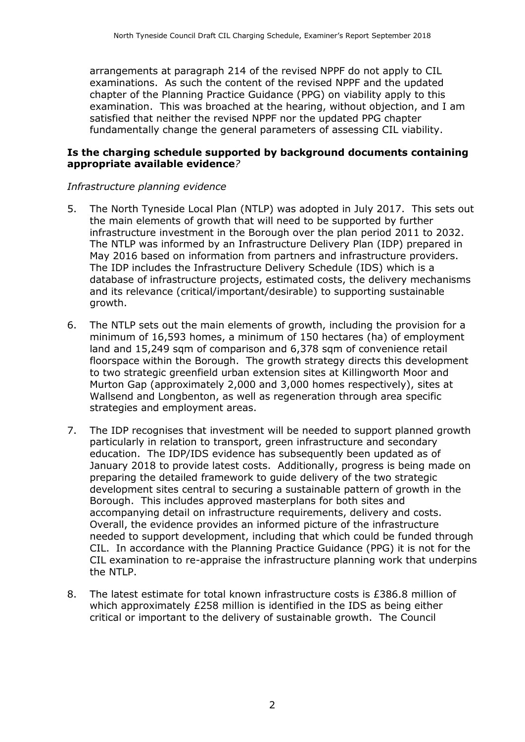arrangements at paragraph 214 of the revised NPPF do not apply to CIL examinations. As such the content of the revised NPPF and the updated chapter of the Planning Practice Guidance (PPG) on viability apply to this examination. This was broached at the hearing, without objection, and I am satisfied that neither the revised NPPF nor the updated PPG chapter fundamentally change the general parameters of assessing CIL viability.

#### **Is the charging schedule supported by background documents containing appropriate available evidence***?*

#### *Infrastructure planning evidence*

- 5. The North Tyneside Local Plan (NTLP) was adopted in July 2017. This sets out the main elements of growth that will need to be supported by further infrastructure investment in the Borough over the plan period 2011 to 2032. The NTLP was informed by an Infrastructure Delivery Plan (IDP) prepared in May 2016 based on information from partners and infrastructure providers. The IDP includes the Infrastructure Delivery Schedule (IDS) which is a database of infrastructure projects, estimated costs, the delivery mechanisms and its relevance (critical/important/desirable) to supporting sustainable growth.
- 6. The NTLP sets out the main elements of growth, including the provision for a minimum of 16,593 homes, a minimum of 150 hectares (ha) of employment land and 15,249 sqm of comparison and 6,378 sqm of convenience retail floorspace within the Borough. The growth strategy directs this development to two strategic greenfield urban extension sites at Killingworth Moor and Murton Gap (approximately 2,000 and 3,000 homes respectively), sites at Wallsend and Longbenton, as well as regeneration through area specific strategies and employment areas.
- 7. The IDP recognises that investment will be needed to support planned growth particularly in relation to transport, green infrastructure and secondary education. The IDP/IDS evidence has subsequently been updated as of January 2018 to provide latest costs. Additionally, progress is being made on preparing the detailed framework to guide delivery of the two strategic development sites central to securing a sustainable pattern of growth in the Borough. This includes approved masterplans for both sites and accompanying detail on infrastructure requirements, delivery and costs. Overall, the evidence provides an informed picture of the infrastructure needed to support development, including that which could be funded through CIL. In accordance with the Planning Practice Guidance (PPG) it is not for the CIL examination to re-appraise the infrastructure planning work that underpins the NTLP.
- 8. The latest estimate for total known infrastructure costs is £386.8 million of which approximately £258 million is identified in the IDS as being either critical or important to the delivery of sustainable growth. The Council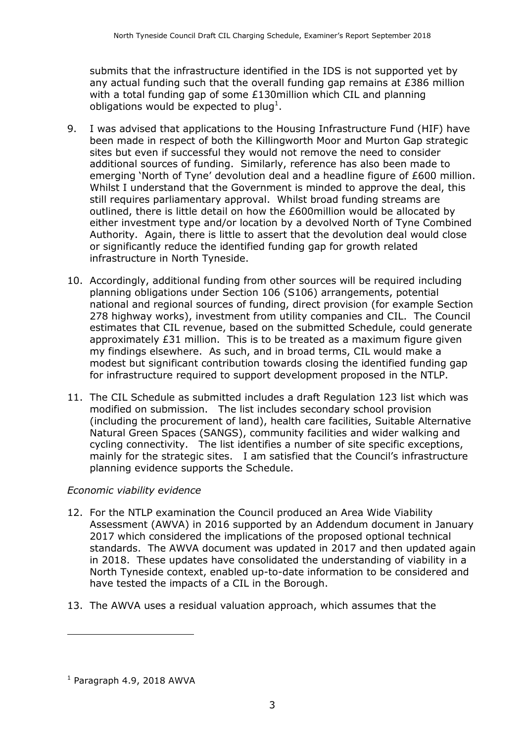submits that the infrastructure identified in the IDS is not supported yet by any actual funding such that the overall funding gap remains at £386 million with a total funding gap of some £130million which CIL and planning obligations would be expected to plug<sup>1</sup>.

- 9. I was advised that applications to the Housing Infrastructure Fund (HIF) have been made in respect of both the Killingworth Moor and Murton Gap strategic sites but even if successful they would not remove the need to consider additional sources of funding. Similarly, reference has also been made to emerging 'North of Tyne' devolution deal and a headline figure of £600 million. Whilst I understand that the Government is minded to approve the deal, this still requires parliamentary approval. Whilst broad funding streams are outlined, there is little detail on how the £600million would be allocated by either investment type and/or location by a devolved North of Tyne Combined Authority. Again, there is little to assert that the devolution deal would close or significantly reduce the identified funding gap for growth related infrastructure in North Tyneside.
- 10. Accordingly, additional funding from other sources will be required including planning obligations under Section 106 (S106) arrangements, potential national and regional sources of funding, direct provision (for example Section 278 highway works), investment from utility companies and CIL. The Council estimates that CIL revenue, based on the submitted Schedule, could generate approximately £31 million. This is to be treated as a maximum figure given my findings elsewhere. As such, and in broad terms, CIL would make a modest but significant contribution towards closing the identified funding gap for infrastructure required to support development proposed in the NTLP.
- 11. The CIL Schedule as submitted includes a draft Regulation 123 list which was modified on submission. The list includes secondary school provision (including the procurement of land), health care facilities, Suitable Alternative Natural Green Spaces (SANGS), community facilities and wider walking and cycling connectivity. The list identifies a number of site specific exceptions, mainly for the strategic sites. I am satisfied that the Council's infrastructure planning evidence supports the Schedule.

#### *Economic viability evidence*

- 12. For the NTLP examination the Council produced an Area Wide Viability Assessment (AWVA) in 2016 supported by an Addendum document in January 2017 which considered the implications of the proposed optional technical standards. The AWVA document was updated in 2017 and then updated again in 2018. These updates have consolidated the understanding of viability in a North Tyneside context, enabled up-to-date information to be considered and have tested the impacts of a CIL in the Borough.
- 13. The AWVA uses a residual valuation approach, which assumes that the

 $\overline{a}$ 

 $<sup>1</sup>$  Paragraph 4.9, 2018 AWVA</sup>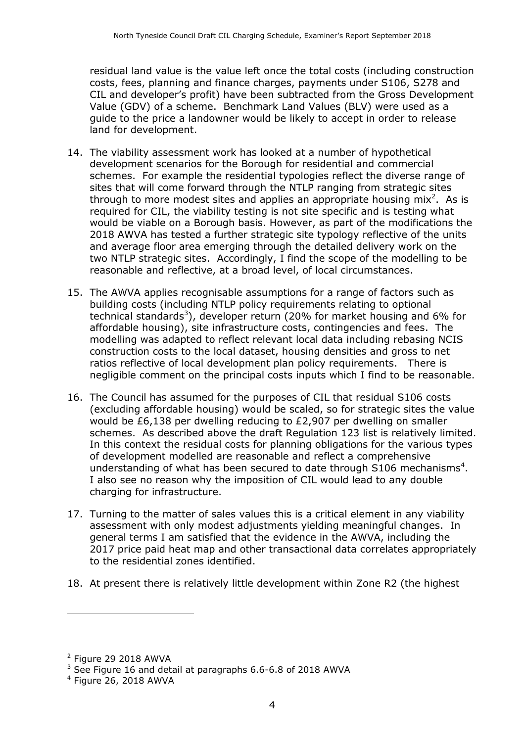residual land value is the value left once the total costs (including construction costs, fees, planning and finance charges, payments under S106, S278 and CIL and developer's profit) have been subtracted from the Gross Development Value (GDV) of a scheme. Benchmark Land Values (BLV) were used as a guide to the price a landowner would be likely to accept in order to release land for development.

- 14. The viability assessment work has looked at a number of hypothetical development scenarios for the Borough for residential and commercial schemes. For example the residential typologies reflect the diverse range of sites that will come forward through the NTLP ranging from strategic sites through to more modest sites and applies an appropriate housing mix<sup>2</sup>. As is required for CIL, the viability testing is not site specific and is testing what would be viable on a Borough basis. However, as part of the modifications the 2018 AWVA has tested a further strategic site typology reflective of the units and average floor area emerging through the detailed delivery work on the two NTLP strategic sites. Accordingly, I find the scope of the modelling to be reasonable and reflective, at a broad level, of local circumstances.
- 15. The AWVA applies recognisable assumptions for a range of factors such as building costs (including NTLP policy requirements relating to optional technical standards<sup>3</sup>), developer return (20% for market housing and 6% for affordable housing), site infrastructure costs, contingencies and fees. The modelling was adapted to reflect relevant local data including rebasing NCIS construction costs to the local dataset, housing densities and gross to net ratios reflective of local development plan policy requirements. There is negligible comment on the principal costs inputs which I find to be reasonable.
- 16. The Council has assumed for the purposes of CIL that residual S106 costs (excluding affordable housing) would be scaled, so for strategic sites the value would be £6,138 per dwelling reducing to £2,907 per dwelling on smaller schemes. As described above the draft Regulation 123 list is relatively limited. In this context the residual costs for planning obligations for the various types of development modelled are reasonable and reflect a comprehensive understanding of what has been secured to date through S106 mechanisms<sup>4</sup>. I also see no reason why the imposition of CIL would lead to any double charging for infrastructure.
- 17. Turning to the matter of sales values this is a critical element in any viability assessment with only modest adjustments yielding meaningful changes. In general terms I am satisfied that the evidence in the AWVA, including the 2017 price paid heat map and other transactional data correlates appropriately to the residential zones identified.
- 18. At present there is relatively little development within Zone R2 (the highest

j

 $2$  Figure 29 2018 AWVA

 $3$  See Figure 16 and detail at paragraphs 6.6-6.8 of 2018 AWVA

<sup>4</sup> Figure 26, 2018 AWVA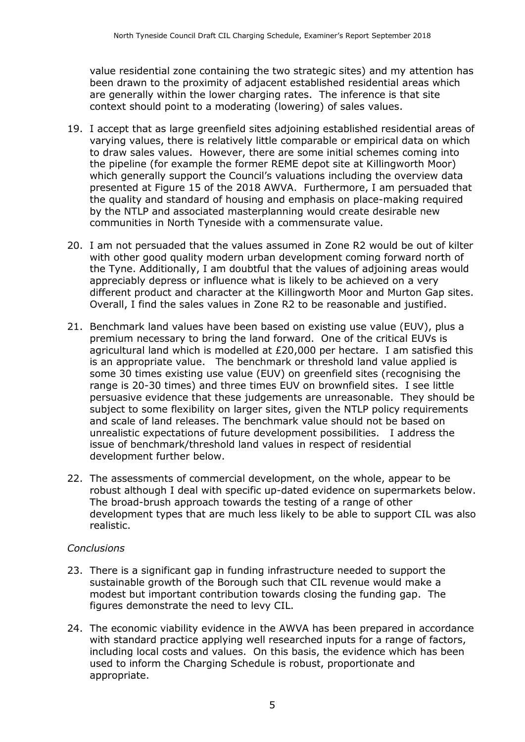value residential zone containing the two strategic sites) and my attention has been drawn to the proximity of adjacent established residential areas which are generally within the lower charging rates. The inference is that site context should point to a moderating (lowering) of sales values.

- 19. I accept that as large greenfield sites adjoining established residential areas of varying values, there is relatively little comparable or empirical data on which to draw sales values. However, there are some initial schemes coming into the pipeline (for example the former REME depot site at Killingworth Moor) which generally support the Council's valuations including the overview data presented at Figure 15 of the 2018 AWVA. Furthermore, I am persuaded that the quality and standard of housing and emphasis on place-making required by the NTLP and associated masterplanning would create desirable new communities in North Tyneside with a commensurate value.
- 20. I am not persuaded that the values assumed in Zone R2 would be out of kilter with other good quality modern urban development coming forward north of the Tyne. Additionally, I am doubtful that the values of adjoining areas would appreciably depress or influence what is likely to be achieved on a very different product and character at the Killingworth Moor and Murton Gap sites. Overall, I find the sales values in Zone R2 to be reasonable and justified.
- 21. Benchmark land values have been based on existing use value (EUV), plus a premium necessary to bring the land forward. One of the critical EUVs is agricultural land which is modelled at £20,000 per hectare. I am satisfied this is an appropriate value. The benchmark or threshold land value applied is some 30 times existing use value (EUV) on greenfield sites (recognising the range is 20-30 times) and three times EUV on brownfield sites. I see little persuasive evidence that these judgements are unreasonable. They should be subject to some flexibility on larger sites, given the NTLP policy requirements and scale of land releases. The benchmark value should not be based on unrealistic expectations of future development possibilities. I address the issue of benchmark/threshold land values in respect of residential development further below.
- 22. The assessments of commercial development, on the whole, appear to be robust although I deal with specific up-dated evidence on supermarkets below. The broad-brush approach towards the testing of a range of other development types that are much less likely to be able to support CIL was also realistic.

#### *Conclusions*

- 23. There is a significant gap in funding infrastructure needed to support the sustainable growth of the Borough such that CIL revenue would make a modest but important contribution towards closing the funding gap. The figures demonstrate the need to levy CIL.
- 24. The economic viability evidence in the AWVA has been prepared in accordance with standard practice applying well researched inputs for a range of factors, including local costs and values. On this basis, the evidence which has been used to inform the Charging Schedule is robust, proportionate and appropriate.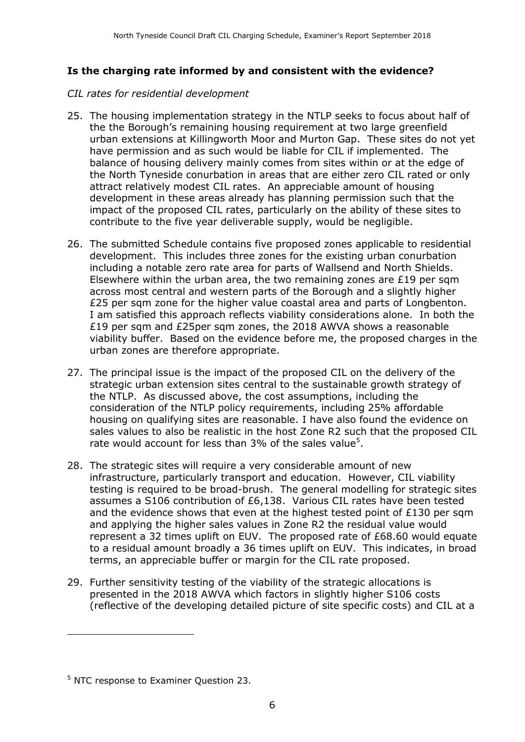# **Is the charging rate informed by and consistent with the evidence?**

#### *CIL rates for residential development*

- 25. The housing implementation strategy in the NTLP seeks to focus about half of the the Borough's remaining housing requirement at two large greenfield urban extensions at Killingworth Moor and Murton Gap. These sites do not yet have permission and as such would be liable for CIL if implemented. The balance of housing delivery mainly comes from sites within or at the edge of the North Tyneside conurbation in areas that are either zero CIL rated or only attract relatively modest CIL rates. An appreciable amount of housing development in these areas already has planning permission such that the impact of the proposed CIL rates, particularly on the ability of these sites to contribute to the five year deliverable supply, would be negligible.
- 26. The submitted Schedule contains five proposed zones applicable to residential development. This includes three zones for the existing urban conurbation including a notable zero rate area for parts of Wallsend and North Shields. Elsewhere within the urban area, the two remaining zones are £19 per sqm across most central and western parts of the Borough and a slightly higher £25 per sqm zone for the higher value coastal area and parts of Longbenton. I am satisfied this approach reflects viability considerations alone. In both the £19 per sqm and £25per sqm zones, the 2018 AWVA shows a reasonable viability buffer. Based on the evidence before me, the proposed charges in the urban zones are therefore appropriate.
- 27. The principal issue is the impact of the proposed CIL on the delivery of the strategic urban extension sites central to the sustainable growth strategy of the NTLP. As discussed above, the cost assumptions, including the consideration of the NTLP policy requirements, including 25% affordable housing on qualifying sites are reasonable. I have also found the evidence on sales values to also be realistic in the host Zone R2 such that the proposed CIL rate would account for less than 3% of the sales value<sup>5</sup>.
- 28. The strategic sites will require a very considerable amount of new infrastructure, particularly transport and education. However, CIL viability testing is required to be broad-brush. The general modelling for strategic sites assumes a S106 contribution of £6,138. Various CIL rates have been tested and the evidence shows that even at the highest tested point of £130 per sqm and applying the higher sales values in Zone R2 the residual value would represent a 32 times uplift on EUV. The proposed rate of £68.60 would equate to a residual amount broadly a 36 times uplift on EUV. This indicates, in broad terms, an appreciable buffer or margin for the CIL rate proposed.
- 29. Further sensitivity testing of the viability of the strategic allocations is presented in the 2018 AWVA which factors in slightly higher S106 costs (reflective of the developing detailed picture of site specific costs) and CIL at a

 $\overline{a}$ 

<sup>5</sup> NTC response to Examiner Question 23.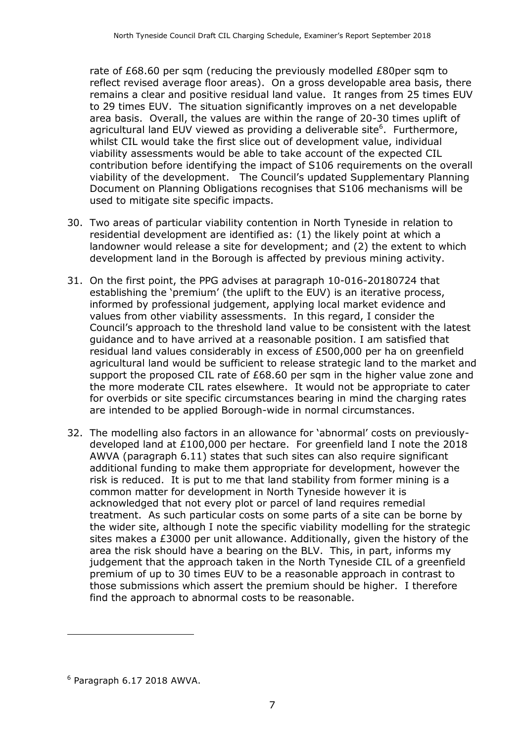rate of £68.60 per sqm (reducing the previously modelled £80per sqm to reflect revised average floor areas). On a gross developable area basis, there remains a clear and positive residual land value. It ranges from 25 times EUV to 29 times EUV. The situation significantly improves on a net developable area basis. Overall, the values are within the range of 20-30 times uplift of agricultural land EUV viewed as providing a deliverable site<sup>6</sup>. Furthermore, whilst CIL would take the first slice out of development value, individual viability assessments would be able to take account of the expected CIL contribution before identifying the impact of S106 requirements on the overall viability of the development. The Council's updated Supplementary Planning Document on Planning Obligations recognises that S106 mechanisms will be used to mitigate site specific impacts.

- 30. Two areas of particular viability contention in North Tyneside in relation to residential development are identified as: (1) the likely point at which a landowner would release a site for development; and (2) the extent to which development land in the Borough is affected by previous mining activity.
- 31. On the first point, the PPG advises at paragraph 10-016-20180724 that establishing the 'premium' (the uplift to the EUV) is an iterative process, informed by professional judgement, applying local market evidence and values from other viability assessments. In this regard, I consider the Council's approach to the threshold land value to be consistent with the latest guidance and to have arrived at a reasonable position. I am satisfied that residual land values considerably in excess of £500,000 per ha on greenfield agricultural land would be sufficient to release strategic land to the market and support the proposed CIL rate of £68.60 per sqm in the higher value zone and the more moderate CIL rates elsewhere. It would not be appropriate to cater for overbids or site specific circumstances bearing in mind the charging rates are intended to be applied Borough-wide in normal circumstances.
- 32. The modelling also factors in an allowance for 'abnormal' costs on previouslydeveloped land at £100,000 per hectare. For greenfield land I note the 2018 AWVA (paragraph 6.11) states that such sites can also require significant additional funding to make them appropriate for development, however the risk is reduced. It is put to me that land stability from former mining is a common matter for development in North Tyneside however it is acknowledged that not every plot or parcel of land requires remedial treatment. As such particular costs on some parts of a site can be borne by the wider site, although I note the specific viability modelling for the strategic sites makes a £3000 per unit allowance. Additionally, given the history of the area the risk should have a bearing on the BLV. This, in part, informs my judgement that the approach taken in the North Tyneside CIL of a greenfield premium of up to 30 times EUV to be a reasonable approach in contrast to those submissions which assert the premium should be higher. I therefore find the approach to abnormal costs to be reasonable.

 $\overline{a}$ 

<sup>6</sup> Paragraph 6.17 2018 AWVA.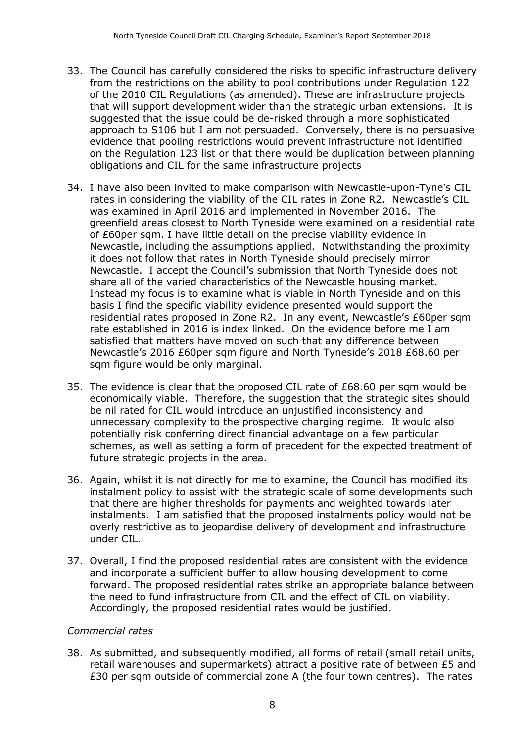- 33. The Council has carefully considered the risks to specific infrastructure delivery from the restrictions on the ability to pool contributions under Regulation 122 of the 2010 CIL Regulations (as amended). These are infrastructure projects that will support development wider than the strategic urban extensions. It is suggested that the issue could be de-risked through a more sophisticated approach to S106 but I am not persuaded. Conversely, there is no persuasive evidence that pooling restrictions would prevent infrastructure not identified on the Regulation 123 list or that there would be duplication between planning obligations and CIL for the same infrastructure projects
- 34. I have also been invited to make comparison with Newcastle-upon-Tyne's CIL rates in considering the viability of the CIL rates in Zone R2. Newcastle's CIL was examined in April 2016 and implemented in November 2016. The greenfield areas closest to North Tyneside were examined on a residential rate of £60per sqm. I have little detail on the precise viability evidence in Newcastle, including the assumptions applied. Notwithstanding the proximity it does not follow that rates in North Tyneside should precisely mirror Newcastle. I accept the Council's submission that North Tyneside does not share all of the varied characteristics of the Newcastle housing market. Instead my focus is to examine what is viable in North Tyneside and on this basis I find the specific viability evidence presented would support the residential rates proposed in Zone R2. In any event, Newcastle's £60per sqm rate established in 2016 is index linked. On the evidence before me I am satisfied that matters have moved on such that any difference between Newcastle's 2016 £60per sqm figure and North Tyneside's 2018 £68.60 per sqm figure would be only marginal.
- 35. The evidence is clear that the proposed CIL rate of £68.60 per sqm would be economically viable. Therefore, the suggestion that the strategic sites should be nil rated for CIL would introduce an unjustified inconsistency and unnecessary complexity to the prospective charging regime. It would also potentially risk conferring direct financial advantage on a few particular schemes, as well as setting a form of precedent for the expected treatment of future strategic projects in the area.
- 36. Again, whilst it is not directly for me to examine, the Council has modified its instalment policy to assist with the strategic scale of some developments such that there are higher thresholds for payments and weighted towards later instalments. I am satisfied that the proposed instalments policy would not be overly restrictive as to jeopardise delivery of development and infrastructure under CIL.
- 37. Overall, I find the proposed residential rates are consistent with the evidence and incorporate a sufficient buffer to allow housing development to come forward. The proposed residential rates strike an appropriate balance between the need to fund infrastructure from CIL and the effect of CIL on viability. Accordingly, the proposed residential rates would be justified.

#### *Commercial rates*

38. As submitted, and subsequently modified, all forms of retail (small retail units, retail warehouses and supermarkets) attract a positive rate of between £5 and £30 per sqm outside of commercial zone A (the four town centres). The rates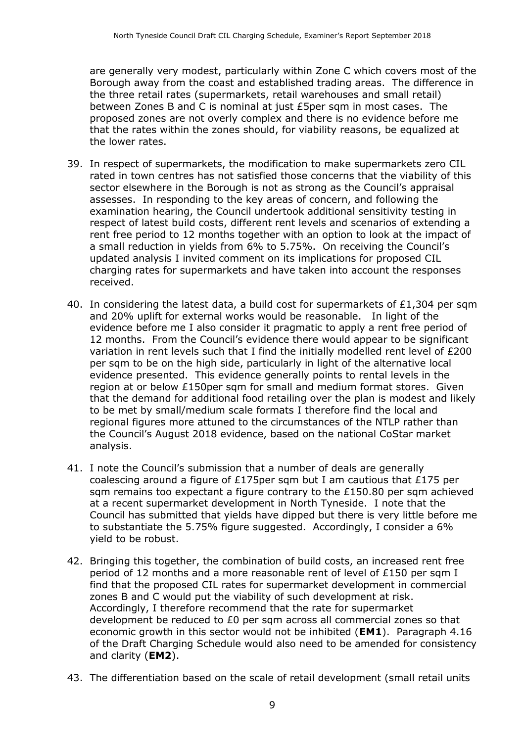are generally very modest, particularly within Zone C which covers most of the Borough away from the coast and established trading areas. The difference in the three retail rates (supermarkets, retail warehouses and small retail) between Zones B and C is nominal at just £5per sqm in most cases. The proposed zones are not overly complex and there is no evidence before me that the rates within the zones should, for viability reasons, be equalized at the lower rates.

- 39. In respect of supermarkets, the modification to make supermarkets zero CIL rated in town centres has not satisfied those concerns that the viability of this sector elsewhere in the Borough is not as strong as the Council's appraisal assesses. In responding to the key areas of concern, and following the examination hearing, the Council undertook additional sensitivity testing in respect of latest build costs, different rent levels and scenarios of extending a rent free period to 12 months together with an option to look at the impact of a small reduction in yields from 6% to 5.75%. On receiving the Council's updated analysis I invited comment on its implications for proposed CIL charging rates for supermarkets and have taken into account the responses received.
- 40. In considering the latest data, a build cost for supermarkets of £1,304 per sqm and 20% uplift for external works would be reasonable. In light of the evidence before me I also consider it pragmatic to apply a rent free period of 12 months. From the Council's evidence there would appear to be significant variation in rent levels such that I find the initially modelled rent level of £200 per sqm to be on the high side, particularly in light of the alternative local evidence presented. This evidence generally points to rental levels in the region at or below £150per sqm for small and medium format stores. Given that the demand for additional food retailing over the plan is modest and likely to be met by small/medium scale formats I therefore find the local and regional figures more attuned to the circumstances of the NTLP rather than the Council's August 2018 evidence, based on the national CoStar market analysis.
- 41. I note the Council's submission that a number of deals are generally coalescing around a figure of £175per sqm but I am cautious that £175 per sam remains too expectant a figure contrary to the  $£150.80$  per sqm achieved at a recent supermarket development in North Tyneside. I note that the Council has submitted that yields have dipped but there is very little before me to substantiate the 5.75% figure suggested. Accordingly, I consider a 6% yield to be robust.
- 42. Bringing this together, the combination of build costs, an increased rent free period of 12 months and a more reasonable rent of level of £150 per sqm I find that the proposed CIL rates for supermarket development in commercial zones B and C would put the viability of such development at risk. Accordingly, I therefore recommend that the rate for supermarket development be reduced to £0 per sqm across all commercial zones so that economic growth in this sector would not be inhibited (**EM1**). Paragraph 4.16 of the Draft Charging Schedule would also need to be amended for consistency and clarity (**EM2**).
- 43. The differentiation based on the scale of retail development (small retail units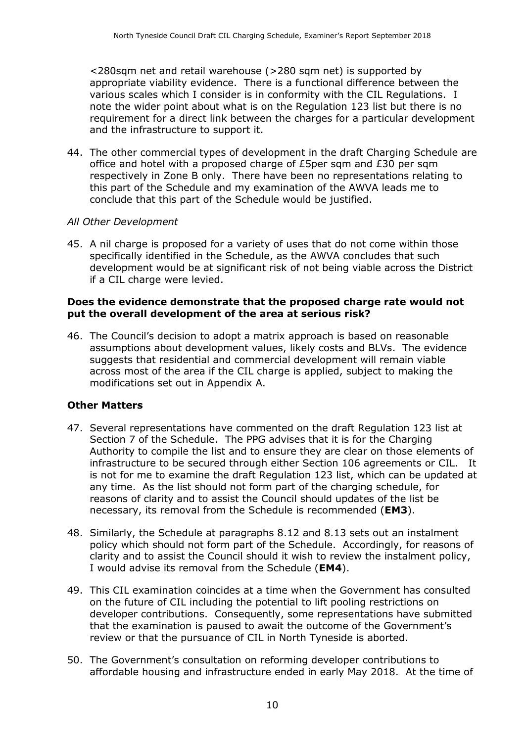<280sqm net and retail warehouse (>280 sqm net) is supported by appropriate viability evidence. There is a functional difference between the various scales which I consider is in conformity with the CIL Regulations. I note the wider point about what is on the Regulation 123 list but there is no requirement for a direct link between the charges for a particular development and the infrastructure to support it.

44. The other commercial types of development in the draft Charging Schedule are office and hotel with a proposed charge of £5per sqm and £30 per sqm respectively in Zone B only. There have been no representations relating to this part of the Schedule and my examination of the AWVA leads me to conclude that this part of the Schedule would be justified.

#### *All Other Development*

45. A nil charge is proposed for a variety of uses that do not come within those specifically identified in the Schedule, as the AWVA concludes that such development would be at significant risk of not being viable across the District if a CIL charge were levied.

#### **Does the evidence demonstrate that the proposed charge rate would not put the overall development of the area at serious risk?**

46. The Council's decision to adopt a matrix approach is based on reasonable assumptions about development values, likely costs and BLVs. The evidence suggests that residential and commercial development will remain viable across most of the area if the CIL charge is applied, subject to making the modifications set out in Appendix A.

#### **Other Matters**

- 47. Several representations have commented on the draft Regulation 123 list at Section 7 of the Schedule. The PPG advises that it is for the Charging Authority to compile the list and to ensure they are clear on those elements of infrastructure to be secured through either Section 106 agreements or CIL. It is not for me to examine the draft Regulation 123 list, which can be updated at any time. As the list should not form part of the charging schedule, for reasons of clarity and to assist the Council should updates of the list be necessary, its removal from the Schedule is recommended (**EM3**).
- 48. Similarly, the Schedule at paragraphs 8.12 and 8.13 sets out an instalment policy which should not form part of the Schedule. Accordingly, for reasons of clarity and to assist the Council should it wish to review the instalment policy, I would advise its removal from the Schedule (**EM4**).
- 49. This CIL examination coincides at a time when the Government has consulted on the future of CIL including the potential to lift pooling restrictions on developer contributions. Consequently, some representations have submitted that the examination is paused to await the outcome of the Government's review or that the pursuance of CIL in North Tyneside is aborted.
- 50. The Government's consultation on reforming developer contributions to affordable housing and infrastructure ended in early May 2018. At the time of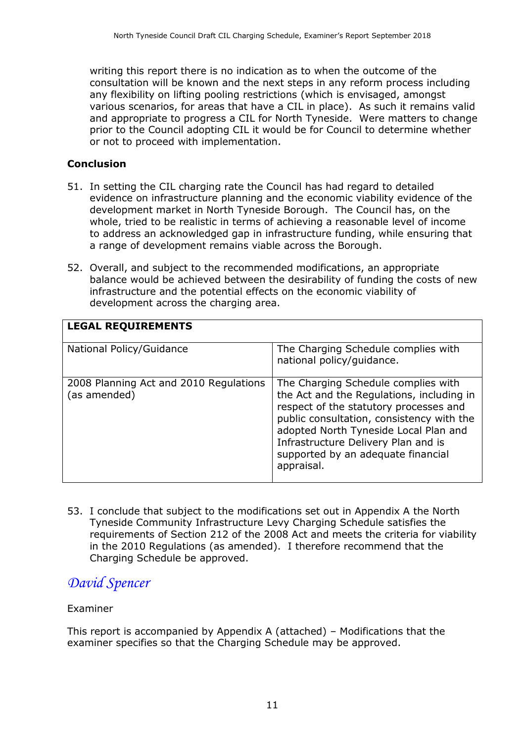writing this report there is no indication as to when the outcome of the consultation will be known and the next steps in any reform process including any flexibility on lifting pooling restrictions (which is envisaged, amongst various scenarios, for areas that have a CIL in place). As such it remains valid and appropriate to progress a CIL for North Tyneside. Were matters to change prior to the Council adopting CIL it would be for Council to determine whether or not to proceed with implementation.

## **Conclusion**

- 51. In setting the CIL charging rate the Council has had regard to detailed evidence on infrastructure planning and the economic viability evidence of the development market in North Tyneside Borough. The Council has, on the whole, tried to be realistic in terms of achieving a reasonable level of income to address an acknowledged gap in infrastructure funding, while ensuring that a range of development remains viable across the Borough.
- 52. Overall, and subject to the recommended modifications, an appropriate balance would be achieved between the desirability of funding the costs of new infrastructure and the potential effects on the economic viability of development across the charging area.

| <b>LEGAL REQUIREMENTS</b>                              |                                                                                                                                                                                                                                                                                                             |
|--------------------------------------------------------|-------------------------------------------------------------------------------------------------------------------------------------------------------------------------------------------------------------------------------------------------------------------------------------------------------------|
| National Policy/Guidance                               | The Charging Schedule complies with<br>national policy/guidance.                                                                                                                                                                                                                                            |
| 2008 Planning Act and 2010 Regulations<br>(as amended) | The Charging Schedule complies with<br>the Act and the Regulations, including in<br>respect of the statutory processes and<br>public consultation, consistency with the<br>adopted North Tyneside Local Plan and<br>Infrastructure Delivery Plan and is<br>supported by an adequate financial<br>appraisal. |

53. I conclude that subject to the modifications set out in Appendix A the North Tyneside Community Infrastructure Levy Charging Schedule satisfies the requirements of Section 212 of the 2008 Act and meets the criteria for viability in the 2010 Regulations (as amended). I therefore recommend that the Charging Schedule be approved.

# *David Spencer*

#### Examiner

This report is accompanied by Appendix A (attached) – Modifications that the examiner specifies so that the Charging Schedule may be approved.